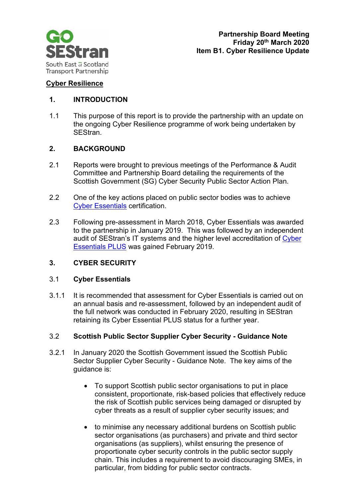

## **Cyber Resilience**

# **1. INTRODUCTION**

1.1 This purpose of this report is to provide the partnership with an update on the ongoing Cyber Resilience programme of work being undertaken by SEStran.

### **2. BACKGROUND**

- 2.1 Reports were brought to previous meetings of the Performance & Audit Committee and Partnership Board detailing the requirements of the Scottish Government (SG) Cyber Security Public Sector Action Plan.
- 2.2 One of the key actions placed on public sector bodies was to achieve [Cyber Essentials](https://www.cyberessentials.org/background/index.html) certification.
- 2.3 Following pre-assessment in March 2018, Cyber Essentials was awarded to the partnership in January 2019. This was followed by an independent audit of SEStran's IT systems and the higher level accreditation of [Cyber](https://www.cyberessentials.org/about-the-cyber-essentials-standard/index.html)  [Essentials PLUS](https://www.cyberessentials.org/about-the-cyber-essentials-standard/index.html) was gained February 2019.

# **3. CYBER SECURITY**

#### 3.1 **Cyber Essentials**

3.1.1 It is recommended that assessment for Cyber Essentials is carried out on an annual basis and re-assessment, followed by an independent audit of the full network was conducted in February 2020, resulting in SEStran retaining its Cyber Essential PLUS status for a further year.

#### 3.2 **Scottish Public Sector Supplier Cyber Security - Guidance Note**

- 3.2.1 In January 2020 the Scottish Government issued the Scottish Public Sector Supplier Cyber Security - Guidance Note. The key aims of the guidance is:
	- To support Scottish public sector organisations to put in place consistent, proportionate, risk-based policies that effectively reduce the risk of Scottish public services being damaged or disrupted by cyber threats as a result of supplier cyber security issues; and
	- to minimise any necessary additional burdens on Scottish public sector organisations (as purchasers) and private and third sector organisations (as suppliers), whilst ensuring the presence of proportionate cyber security controls in the public sector supply chain. This includes a requirement to avoid discouraging SMEs, in particular, from bidding for public sector contracts.